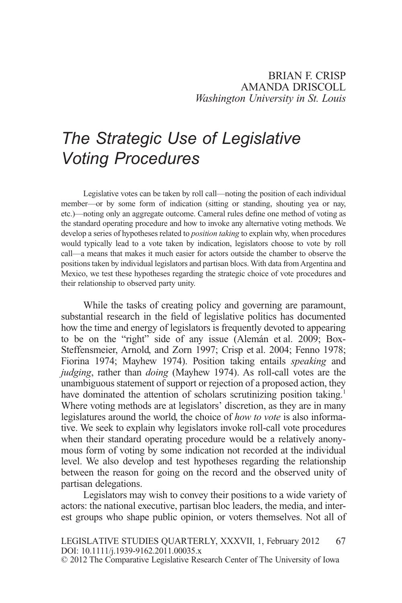# *The Strategic Use of Legislative Voting Procedures*

Legislative votes can be taken by roll call—noting the position of each individual member—or by some form of indication (sitting or standing, shouting yea or nay, etc.)—noting only an aggregate outcome. Cameral rules define one method of voting as the standard operating procedure and how to invoke any alternative voting methods. We develop a series of hypotheses related to *position taking* to explain why, when procedures would typically lead to a vote taken by indication, legislators choose to vote by roll call—a means that makes it much easier for actors outside the chamber to observe the positions taken by individual legislators and partisan blocs. With data from Argentina and Mexico, we test these hypotheses regarding the strategic choice of vote procedures and their relationship to observed party unity.

While the tasks of creating policy and governing are paramount, substantial research in the field of legislative politics has documented how the time and energy of legislators is frequently devoted to appearing to be on the "right" side of any issue (Alemán et al. 2009; Box-Steffensmeier, Arnold, and Zorn 1997; Crisp et al. 2004; Fenno 1978; Fiorina 1974; Mayhew 1974). Position taking entails *speaking* and *judging*, rather than *doing* (Mayhew 1974). As roll-call votes are the unambiguous statement of support or rejection of a proposed action, they have dominated the attention of scholars scrutinizing position taking.<sup>1</sup> Where voting methods are at legislators' discretion, as they are in many legislatures around the world, the choice of *how to vote* is also informative. We seek to explain why legislators invoke roll-call vote procedures when their standard operating procedure would be a relatively anonymous form of voting by some indication not recorded at the individual level. We also develop and test hypotheses regarding the relationship between the reason for going on the record and the observed unity of partisan delegations.

Legislators may wish to convey their positions to a wide variety of actors: the national executive, partisan bloc leaders, the media, and interest groups who shape public opinion, or voters themselves. Not all of

LEGISLATIVE STUDIES QUARTERLY, XXXVII, 1, February 2012 67 DOI: 10.1111/j.1939-9162.2011.00035.x © 2012 The Comparative Legislative Research Center of The University of Iowa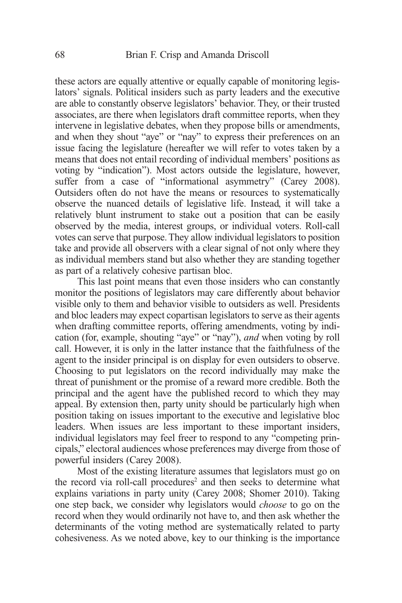these actors are equally attentive or equally capable of monitoring legislators' signals. Political insiders such as party leaders and the executive are able to constantly observe legislators' behavior. They, or their trusted associates, are there when legislators draft committee reports, when they intervene in legislative debates, when they propose bills or amendments, and when they shout "aye" or "nay" to express their preferences on an issue facing the legislature (hereafter we will refer to votes taken by a means that does not entail recording of individual members' positions as voting by "indication"). Most actors outside the legislature, however, suffer from a case of "informational asymmetry" (Carey 2008). Outsiders often do not have the means or resources to systematically observe the nuanced details of legislative life. Instead, it will take a relatively blunt instrument to stake out a position that can be easily observed by the media, interest groups, or individual voters. Roll-call votes can serve that purpose. They allow individual legislators to position take and provide all observers with a clear signal of not only where they as individual members stand but also whether they are standing together as part of a relatively cohesive partisan bloc.

This last point means that even those insiders who can constantly monitor the positions of legislators may care differently about behavior visible only to them and behavior visible to outsiders as well. Presidents and bloc leaders may expect copartisan legislators to serve as their agents when drafting committee reports, offering amendments, voting by indication (for, example, shouting "aye" or "nay"), *and* when voting by roll call. However, it is only in the latter instance that the faithfulness of the agent to the insider principal is on display for even outsiders to observe. Choosing to put legislators on the record individually may make the threat of punishment or the promise of a reward more credible. Both the principal and the agent have the published record to which they may appeal. By extension then, party unity should be particularly high when position taking on issues important to the executive and legislative bloc leaders. When issues are less important to these important insiders, individual legislators may feel freer to respond to any "competing principals," electoral audiences whose preferences may diverge from those of powerful insiders (Carey 2008).

Most of the existing literature assumes that legislators must go on the record via roll-call procedures<sup>2</sup> and then seeks to determine what explains variations in party unity (Carey 2008; Shomer 2010). Taking one step back, we consider why legislators would *choose* to go on the record when they would ordinarily not have to, and then ask whether the determinants of the voting method are systematically related to party cohesiveness. As we noted above, key to our thinking is the importance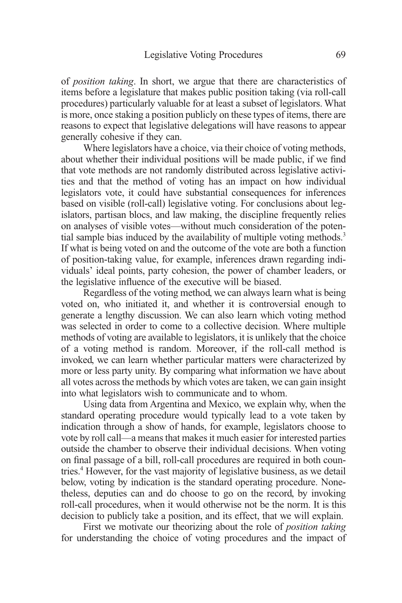of *position taking*. In short, we argue that there are characteristics of items before a legislature that makes public position taking (via roll-call procedures) particularly valuable for at least a subset of legislators. What is more, once staking a position publicly on these types of items, there are reasons to expect that legislative delegations will have reasons to appear generally cohesive if they can.

Where legislators have a choice, via their choice of voting methods, about whether their individual positions will be made public, if we find that vote methods are not randomly distributed across legislative activities and that the method of voting has an impact on how individual legislators vote, it could have substantial consequences for inferences based on visible (roll-call) legislative voting. For conclusions about legislators, partisan blocs, and law making, the discipline frequently relies on analyses of visible votes—without much consideration of the potential sample bias induced by the availability of multiple voting methods. $3$ If what is being voted on and the outcome of the vote are both a function of position-taking value, for example, inferences drawn regarding individuals' ideal points, party cohesion, the power of chamber leaders, or the legislative influence of the executive will be biased.

Regardless of the voting method, we can always learn what is being voted on, who initiated it, and whether it is controversial enough to generate a lengthy discussion. We can also learn which voting method was selected in order to come to a collective decision. Where multiple methods of voting are available to legislators, it is unlikely that the choice of a voting method is random. Moreover, if the roll-call method is invoked, we can learn whether particular matters were characterized by more or less party unity. By comparing what information we have about all votes across the methods by which votes are taken, we can gain insight into what legislators wish to communicate and to whom.

Using data from Argentina and Mexico, we explain why, when the standard operating procedure would typically lead to a vote taken by indication through a show of hands, for example, legislators choose to vote by roll call—a means that makes it much easier for interested parties outside the chamber to observe their individual decisions. When voting on final passage of a bill, roll-call procedures are required in both countries.<sup>4</sup> However, for the vast majority of legislative business, as we detail below, voting by indication is the standard operating procedure. Nonetheless, deputies can and do choose to go on the record, by invoking roll-call procedures, when it would otherwise not be the norm. It is this decision to publicly take a position, and its effect, that we will explain.

First we motivate our theorizing about the role of *position taking* for understanding the choice of voting procedures and the impact of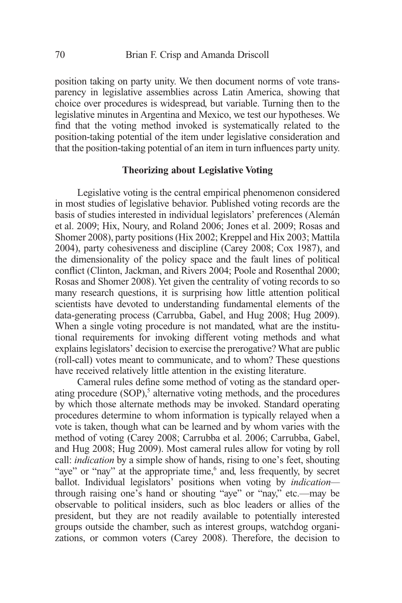position taking on party unity. We then document norms of vote transparency in legislative assemblies across Latin America, showing that choice over procedures is widespread, but variable. Turning then to the legislative minutes in Argentina and Mexico, we test our hypotheses. We find that the voting method invoked is systematically related to the position-taking potential of the item under legislative consideration and that the position-taking potential of an item in turn influences party unity.

#### **Theorizing about Legislative Voting**

Legislative voting is the central empirical phenomenon considered in most studies of legislative behavior. Published voting records are the basis of studies interested in individual legislators' preferences (Alemán et al. 2009; Hix, Noury, and Roland 2006; Jones et al. 2009; Rosas and Shomer 2008), party positions (Hix 2002; Kreppel and Hix 2003; Mattila 2004), party cohesiveness and discipline (Carey 2008; Cox 1987), and the dimensionality of the policy space and the fault lines of political conflict (Clinton, Jackman, and Rivers 2004; Poole and Rosenthal 2000; Rosas and Shomer 2008). Yet given the centrality of voting records to so many research questions, it is surprising how little attention political scientists have devoted to understanding fundamental elements of the data-generating process (Carrubba, Gabel, and Hug 2008; Hug 2009). When a single voting procedure is not mandated, what are the institutional requirements for invoking different voting methods and what explains legislators' decision to exercise the prerogative? What are public (roll-call) votes meant to communicate, and to whom? These questions have received relatively little attention in the existing literature.

Cameral rules define some method of voting as the standard operating procedure  $(SOP)$ ,<sup>5</sup> alternative voting methods, and the procedures by which those alternate methods may be invoked. Standard operating procedures determine to whom information is typically relayed when a vote is taken, though what can be learned and by whom varies with the method of voting (Carey 2008; Carrubba et al. 2006; Carrubba, Gabel, and Hug 2008; Hug 2009). Most cameral rules allow for voting by roll call: *indication* by a simple show of hands, rising to one's feet, shouting "aye" or "nay" at the appropriate time,  $6$  and, less frequently, by secret ballot. Individual legislators' positions when voting by *indication* through raising one's hand or shouting "aye" or "nay," etc.—may be observable to political insiders, such as bloc leaders or allies of the president, but they are not readily available to potentially interested groups outside the chamber, such as interest groups, watchdog organizations, or common voters (Carey 2008). Therefore, the decision to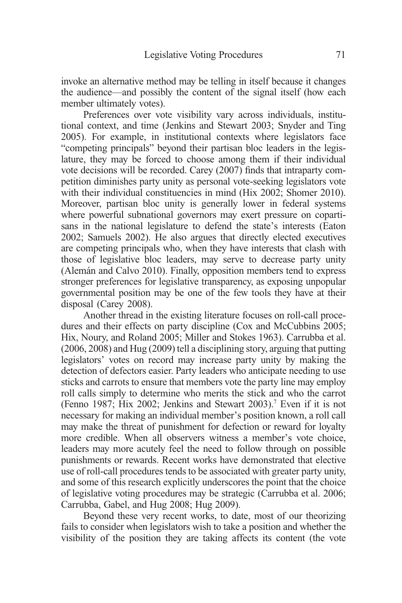invoke an alternative method may be telling in itself because it changes the audience—and possibly the content of the signal itself (how each member ultimately votes).

Preferences over vote visibility vary across individuals, institutional context, and time (Jenkins and Stewart 2003; Snyder and Ting 2005). For example, in institutional contexts where legislators face "competing principals" beyond their partisan bloc leaders in the legislature, they may be forced to choose among them if their individual vote decisions will be recorded. Carey (2007) finds that intraparty competition diminishes party unity as personal vote-seeking legislators vote with their individual constituencies in mind (Hix 2002; Shomer 2010). Moreover, partisan bloc unity is generally lower in federal systems where powerful subnational governors may exert pressure on copartisans in the national legislature to defend the state's interests (Eaton 2002; Samuels 2002). He also argues that directly elected executives are competing principals who, when they have interests that clash with those of legislative bloc leaders, may serve to decrease party unity (Alemán and Calvo 2010). Finally, opposition members tend to express stronger preferences for legislative transparency, as exposing unpopular governmental position may be one of the few tools they have at their disposal (Carey 2008).

Another thread in the existing literature focuses on roll-call procedures and their effects on party discipline (Cox and McCubbins 2005; Hix, Noury, and Roland 2005; Miller and Stokes 1963). Carrubba et al. (2006, 2008) and Hug (2009) tell a disciplining story, arguing that putting legislators' votes on record may increase party unity by making the detection of defectors easier. Party leaders who anticipate needing to use sticks and carrots to ensure that members vote the party line may employ roll calls simply to determine who merits the stick and who the carrot (Fenno 1987; Hix 2002; Jenkins and Stewart 2003).<sup>7</sup> Even if it is not necessary for making an individual member's position known, a roll call may make the threat of punishment for defection or reward for loyalty more credible. When all observers witness a member's vote choice, leaders may more acutely feel the need to follow through on possible punishments or rewards. Recent works have demonstrated that elective use of roll-call procedures tends to be associated with greater party unity, and some of this research explicitly underscores the point that the choice of legislative voting procedures may be strategic (Carrubba et al. 2006; Carrubba, Gabel, and Hug 2008; Hug 2009).

Beyond these very recent works, to date, most of our theorizing fails to consider when legislators wish to take a position and whether the visibility of the position they are taking affects its content (the vote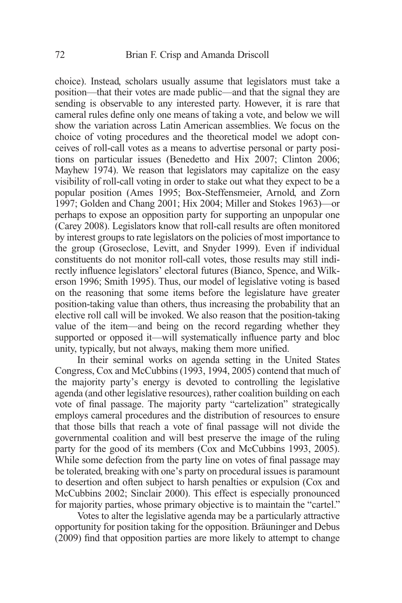choice). Instead, scholars usually assume that legislators must take a position—that their votes are made public—and that the signal they are sending is observable to any interested party. However, it is rare that cameral rules define only one means of taking a vote, and below we will show the variation across Latin American assemblies. We focus on the choice of voting procedures and the theoretical model we adopt conceives of roll-call votes as a means to advertise personal or party positions on particular issues (Benedetto and Hix 2007; Clinton 2006; Mayhew 1974). We reason that legislators may capitalize on the easy visibility of roll-call voting in order to stake out what they expect to be a popular position (Ames 1995; Box-Steffensmeier, Arnold, and Zorn 1997; Golden and Chang 2001; Hix 2004; Miller and Stokes 1963)—or perhaps to expose an opposition party for supporting an unpopular one (Carey 2008). Legislators know that roll-call results are often monitored by interest groups to rate legislators on the policies of most importance to the group (Groseclose, Levitt, and Snyder 1999). Even if individual constituents do not monitor roll-call votes, those results may still indirectly influence legislators' electoral futures (Bianco, Spence, and Wilkerson 1996; Smith 1995). Thus, our model of legislative voting is based on the reasoning that some items before the legislature have greater position-taking value than others, thus increasing the probability that an elective roll call will be invoked. We also reason that the position-taking value of the item—and being on the record regarding whether they supported or opposed it—will systematically influence party and bloc unity, typically, but not always, making them more unified.

In their seminal works on agenda setting in the United States Congress, Cox and McCubbins (1993, 1994, 2005) contend that much of the majority party's energy is devoted to controlling the legislative agenda (and other legislative resources), rather coalition building on each vote of final passage. The majority party "cartelization" strategically employs cameral procedures and the distribution of resources to ensure that those bills that reach a vote of final passage will not divide the governmental coalition and will best preserve the image of the ruling party for the good of its members (Cox and McCubbins 1993, 2005). While some defection from the party line on votes of final passage may be tolerated, breaking with one's party on procedural issues is paramount to desertion and often subject to harsh penalties or expulsion (Cox and McCubbins 2002; Sinclair 2000). This effect is especially pronounced for majority parties, whose primary objective is to maintain the "cartel."

Votes to alter the legislative agenda may be a particularly attractive opportunity for position taking for the opposition. Bräuninger and Debus (2009) find that opposition parties are more likely to attempt to change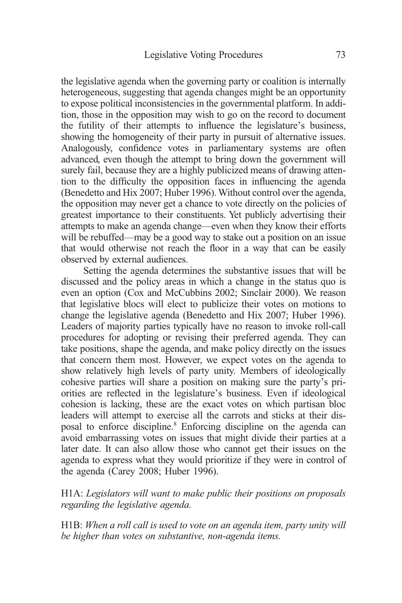the legislative agenda when the governing party or coalition is internally heterogeneous, suggesting that agenda changes might be an opportunity to expose political inconsistencies in the governmental platform. In addition, those in the opposition may wish to go on the record to document the futility of their attempts to influence the legislature's business, showing the homogeneity of their party in pursuit of alternative issues. Analogously, confidence votes in parliamentary systems are often advanced, even though the attempt to bring down the government will surely fail, because they are a highly publicized means of drawing attention to the difficulty the opposition faces in influencing the agenda (Benedetto and Hix 2007; Huber 1996). Without control over the agenda, the opposition may never get a chance to vote directly on the policies of greatest importance to their constituents. Yet publicly advertising their attempts to make an agenda change—even when they know their efforts will be rebuffed—may be a good way to stake out a position on an issue that would otherwise not reach the floor in a way that can be easily observed by external audiences.

Setting the agenda determines the substantive issues that will be discussed and the policy areas in which a change in the status quo is even an option (Cox and McCubbins 2002; Sinclair 2000). We reason that legislative blocs will elect to publicize their votes on motions to change the legislative agenda (Benedetto and Hix 2007; Huber 1996). Leaders of majority parties typically have no reason to invoke roll-call procedures for adopting or revising their preferred agenda. They can take positions, shape the agenda, and make policy directly on the issues that concern them most. However, we expect votes on the agenda to show relatively high levels of party unity. Members of ideologically cohesive parties will share a position on making sure the party's priorities are reflected in the legislature's business. Even if ideological cohesion is lacking, these are the exact votes on which partisan bloc leaders will attempt to exercise all the carrots and sticks at their disposal to enforce discipline.8 Enforcing discipline on the agenda can avoid embarrassing votes on issues that might divide their parties at a later date. It can also allow those who cannot get their issues on the agenda to express what they would prioritize if they were in control of the agenda (Carey 2008; Huber 1996).

H1A: *Legislators will want to make public their positions on proposals regarding the legislative agenda.*

H1B: *When a roll call is used to vote on an agenda item, party unity will be higher than votes on substantive, non-agenda items.*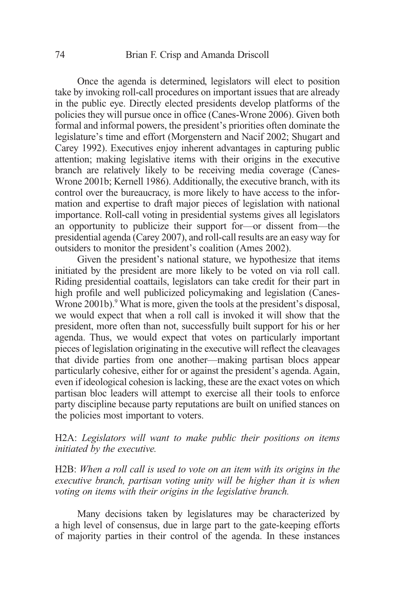Once the agenda is determined, legislators will elect to position take by invoking roll-call procedures on important issues that are already in the public eye. Directly elected presidents develop platforms of the policies they will pursue once in office (Canes-Wrone 2006). Given both formal and informal powers, the president's priorities often dominate the legislature's time and effort (Morgenstern and Nacif 2002; Shugart and Carey 1992). Executives enjoy inherent advantages in capturing public attention; making legislative items with their origins in the executive branch are relatively likely to be receiving media coverage (Canes-Wrone 2001b; Kernell 1986). Additionally, the executive branch, with its control over the bureaucracy, is more likely to have access to the information and expertise to draft major pieces of legislation with national importance. Roll-call voting in presidential systems gives all legislators an opportunity to publicize their support for—or dissent from—the presidential agenda (Carey 2007), and roll-call results are an easy way for outsiders to monitor the president's coalition (Ames 2002).

Given the president's national stature, we hypothesize that items initiated by the president are more likely to be voted on via roll call. Riding presidential coattails, legislators can take credit for their part in high profile and well publicized policymaking and legislation (Canes-Wrone 2001b).<sup>9</sup> What is more, given the tools at the president's disposal, we would expect that when a roll call is invoked it will show that the president, more often than not, successfully built support for his or her agenda. Thus, we would expect that votes on particularly important pieces of legislation originating in the executive will reflect the cleavages that divide parties from one another—making partisan blocs appear particularly cohesive, either for or against the president's agenda. Again, even if ideological cohesion is lacking, these are the exact votes on which partisan bloc leaders will attempt to exercise all their tools to enforce party discipline because party reputations are built on unified stances on the policies most important to voters.

## H2A: *Legislators will want to make public their positions on items initiated by the executive.*

H2B: *When a roll call is used to vote on an item with its origins in the executive branch, partisan voting unity will be higher than it is when voting on items with their origins in the legislative branch.*

Many decisions taken by legislatures may be characterized by a high level of consensus, due in large part to the gate-keeping efforts of majority parties in their control of the agenda. In these instances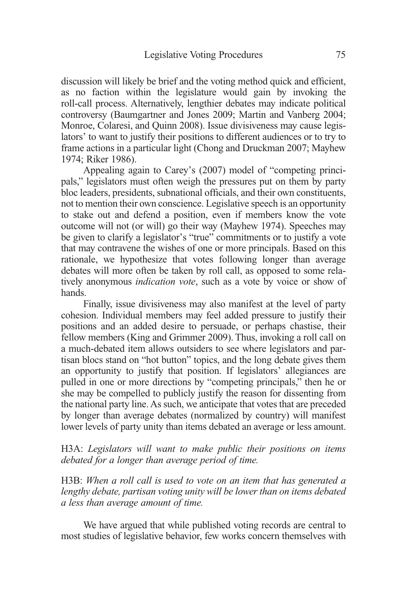discussion will likely be brief and the voting method quick and efficient, as no faction within the legislature would gain by invoking the roll-call process. Alternatively, lengthier debates may indicate political controversy (Baumgartner and Jones 2009; Martin and Vanberg 2004; Monroe, Colaresi, and Quinn 2008). Issue divisiveness may cause legislators' to want to justify their positions to different audiences or to try to frame actions in a particular light (Chong and Druckman 2007; Mayhew 1974; Riker 1986).

Appealing again to Carey's (2007) model of "competing principals," legislators must often weigh the pressures put on them by party bloc leaders, presidents, subnational officials, and their own constituents, not to mention their own conscience. Legislative speech is an opportunity to stake out and defend a position, even if members know the vote outcome will not (or will) go their way (Mayhew 1974). Speeches may be given to clarify a legislator's "true" commitments or to justify a vote that may contravene the wishes of one or more principals. Based on this rationale, we hypothesize that votes following longer than average debates will more often be taken by roll call, as opposed to some relatively anonymous *indication vote*, such as a vote by voice or show of hands.

Finally, issue divisiveness may also manifest at the level of party cohesion. Individual members may feel added pressure to justify their positions and an added desire to persuade, or perhaps chastise, their fellow members (King and Grimmer 2009). Thus, invoking a roll call on a much-debated item allows outsiders to see where legislators and partisan blocs stand on "hot button" topics, and the long debate gives them an opportunity to justify that position. If legislators' allegiances are pulled in one or more directions by "competing principals," then he or she may be compelled to publicly justify the reason for dissenting from the national party line. As such, we anticipate that votes that are preceded by longer than average debates (normalized by country) will manifest lower levels of party unity than items debated an average or less amount.

H3A: *Legislators will want to make public their positions on items debated for a longer than average period of time.*

H3B: *When a roll call is used to vote on an item that has generated a lengthy debate, partisan voting unity will be lower than on items debated a less than average amount of time.*

We have argued that while published voting records are central to most studies of legislative behavior, few works concern themselves with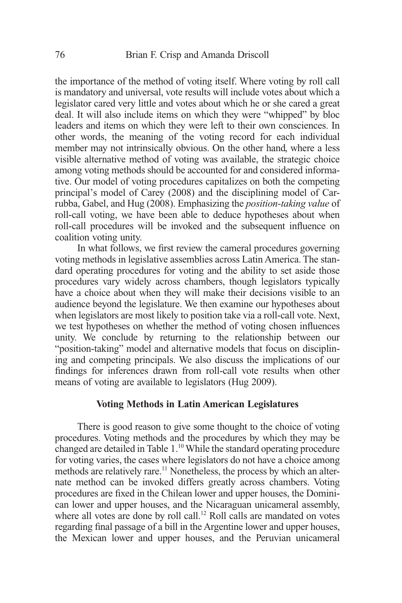the importance of the method of voting itself. Where voting by roll call is mandatory and universal, vote results will include votes about which a legislator cared very little and votes about which he or she cared a great deal. It will also include items on which they were "whipped" by bloc leaders and items on which they were left to their own consciences. In other words, the meaning of the voting record for each individual member may not intrinsically obvious. On the other hand, where a less visible alternative method of voting was available, the strategic choice among voting methods should be accounted for and considered informative. Our model of voting procedures capitalizes on both the competing principal's model of Carey (2008) and the disciplining model of Carrubba, Gabel, and Hug (2008). Emphasizing the *position-taking value* of roll-call voting, we have been able to deduce hypotheses about when roll-call procedures will be invoked and the subsequent influence on coalition voting unity.

In what follows, we first review the cameral procedures governing voting methods in legislative assemblies across Latin America. The standard operating procedures for voting and the ability to set aside those procedures vary widely across chambers, though legislators typically have a choice about when they will make their decisions visible to an audience beyond the legislature. We then examine our hypotheses about when legislators are most likely to position take via a roll-call vote. Next, we test hypotheses on whether the method of voting chosen influences unity. We conclude by returning to the relationship between our "position-taking" model and alternative models that focus on disciplining and competing principals. We also discuss the implications of our findings for inferences drawn from roll-call vote results when other means of voting are available to legislators (Hug 2009).

## **Voting Methods in Latin American Legislatures**

There is good reason to give some thought to the choice of voting procedures. Voting methods and the procedures by which they may be changed are detailed in Table 1.<sup>10</sup> While the standard operating procedure for voting varies, the cases where legislators do not have a choice among methods are relatively rare.<sup>11</sup> Nonetheless, the process by which an alternate method can be invoked differs greatly across chambers. Voting procedures are fixed in the Chilean lower and upper houses, the Dominican lower and upper houses, and the Nicaraguan unicameral assembly, where all votes are done by roll call.<sup>12</sup> Roll calls are mandated on votes regarding final passage of a bill in the Argentine lower and upper houses, the Mexican lower and upper houses, and the Peruvian unicameral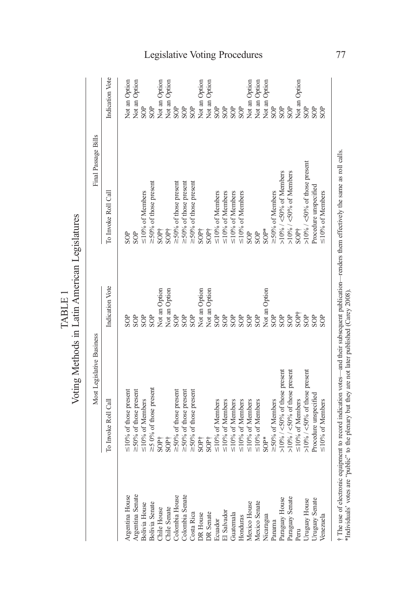|                  | Most Legislative Business                                                                                                                                                                                                                                  |                        | Final Passage Bills             |                        |
|------------------|------------------------------------------------------------------------------------------------------------------------------------------------------------------------------------------------------------------------------------------------------------|------------------------|---------------------------------|------------------------|
|                  | To Invoke Roll Call                                                                                                                                                                                                                                        | <b>Indication Vote</b> | To Invoke Roll Call             | <b>Indication Vote</b> |
| Argentina House  | $\leq$ 10% of those present                                                                                                                                                                                                                                | 50P                    | <b>SOP</b>                      | Not an Option          |
| Argentina Senate | $\geq 50\%$ of those present                                                                                                                                                                                                                               | <b>SOP</b>             | \$OP                            | Not an Option          |
| Bolivia House    | $\leq$ 10% of Members                                                                                                                                                                                                                                      | SOP                    | $\leq$ 10% of Members           | SOP                    |
| Bolivia Senate   | $\geq$ 5 0% of those present                                                                                                                                                                                                                               | <b>SOP</b>             | $\geq$ 50% of those present     | <b>SOP</b>             |
| Chile House      | SOP <sub>T</sub>                                                                                                                                                                                                                                           | Not an Option          | SOP†                            | Not an Option          |
| Chile Senate     | SOP <sub>†</sub>                                                                                                                                                                                                                                           | Not an Option          | SOP†                            | Not an Option          |
| Colombia House   | $\geq$ 50% of those present                                                                                                                                                                                                                                | <b>SOP</b>             | $\geq$ 50% of those present     | SOP                    |
| Colombia Senate  | $\geq$ 50% of those present                                                                                                                                                                                                                                | SOP                    | $\geq$ 50% of those present     | SOP                    |
| Costa Rica       | $\geq$ 50% of those present                                                                                                                                                                                                                                | <b>SOP</b>             | $\geq$ 50% of those present     | <b>SOP</b>             |
| DR House         | SOP <sup>+</sup>                                                                                                                                                                                                                                           | Not an Option          | SOP†                            | Not an Option          |
| DR Senate        | SOP+                                                                                                                                                                                                                                                       | Not an Option          | SOP <sub>T</sub>                | Not an Option          |
| Ecuador          | $\leq$ 10% of Members                                                                                                                                                                                                                                      | <b>SOP</b>             | $\leq$ 10% of Members           | <b>SOP</b>             |
| El Salvador      | $\leq$ 10% of Members                                                                                                                                                                                                                                      | \$OP                   | $\leq$ 10% of Members           | <b>SOP</b>             |
| Guatemala        | $\leq$ 10% of Members                                                                                                                                                                                                                                      | SOP                    | $\leq$ 10% of Members           | <b>SOP</b>             |
| Honduras         | $\leq$ 10% of Members                                                                                                                                                                                                                                      | SOP                    | $\leq$ 10% of Members           | <b>SOP</b>             |
| Mexico House     | $\leq$ 10% of Members                                                                                                                                                                                                                                      | SOP                    | SOP                             | Not an Option          |
| Mexico Senate    | $\leq$ 10% of Members                                                                                                                                                                                                                                      | <b>SOP</b>             | \$OP                            | Not an Option          |
| Nicaragua        | SOP*                                                                                                                                                                                                                                                       | Not an Option          | SOP*                            | Not an Option          |
| Panama           | $\geq$ 50% of Members                                                                                                                                                                                                                                      | SOP                    | ≥50% of Members                 | <b>SOP</b>             |
| Paraguay House   | $>10\%$ / <50% of those present                                                                                                                                                                                                                            | \$OP                   | $>10\%$ / $<$ 50% of Members    | <b>SOP</b>             |
| Paraguay Senate  | $>10\%$ / $<$ 50% of those present                                                                                                                                                                                                                         | SOP                    | $>10\%$ / $<$ 50% of Members    | <b>SOP</b>             |
| Peru             | $\leq$ 10% of Members                                                                                                                                                                                                                                      | SOP†                   | SOP <sub>T</sub>                | Not an Option          |
| Uruguay House    | $>10\%$ / <50% of those present                                                                                                                                                                                                                            | <b>SOP</b>             | $>10\%$ / <50% of those present | SOP                    |
| Uruguay Senate   | Procedure unspecified                                                                                                                                                                                                                                      | <b>SOP</b>             | Procedure unspecified           | <b>SOP</b>             |
| Venezuela        | $\leq 10\%$ of Members                                                                                                                                                                                                                                     | <b>SOP</b>             | $\leq$ 10% of Members           | <b>SOP</b>             |
|                  | <sup>†</sup> The use of electronic equipment to record indication votes—and their subsequent publication—renders them effectively the same as roll calls.<br>*Individuals' votes are "public" to the plenary but they are not later published (Carey 2008) |                        |                                 |                        |

TABLE 1<br>Voting Methods in Latin American Legislatures Voting Methods in Latin American Legislatures TABLE 1

Legislative Voting Procedures 77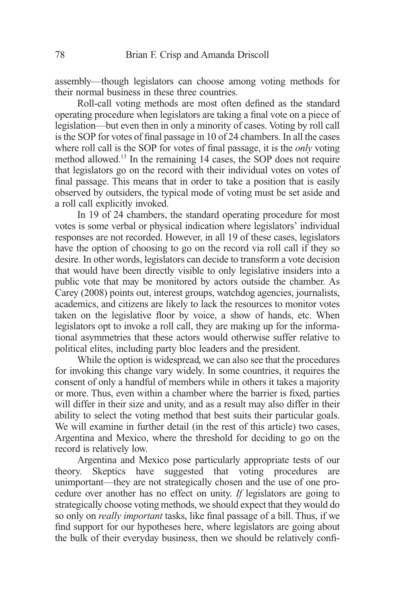assembly—though legislators can choose among voting methods for their normal business in these three countries.

Roll-call voting methods are most often defined as the standard operating procedure when legislators are taking a final vote on a piece of legislation—but even then in only a minority of cases. Voting by roll call is the SOP for votes of final passage in 10 of 24 chambers. In all the cases where roll call is the SOP for votes of final passage, it is the *only* voting method allowed.<sup>13</sup> In the remaining 14 cases, the SOP does not require that legislators go on the record with their individual votes on votes of final passage. This means that in order to take a position that is easily observed by outsiders, the typical mode of voting must be set aside and a roll call explicitly invoked.

In 19 of 24 chambers, the standard operating procedure for most votes is some verbal or physical indication where legislators' individual responses are not recorded. However, in all 19 of these cases, legislators have the option of choosing to go on the record via roll call if they so desire. In other words, legislators can decide to transform a vote decision that would have been directly visible to only legislative insiders into a public vote that may be monitored by actors outside the chamber. As Carey (2008) points out, interest groups, watchdog agencies, journalists, academics, and citizens are likely to lack the resources to monitor votes taken on the legislative floor by voice, a show of hands, etc. When legislators opt to invoke a roll call, they are making up for the informational asymmetries that these actors would otherwise suffer relative to political elites, including party bloc leaders and the president.

While the option is widespread, we can also see that the procedures for invoking this change vary widely. In some countries, it requires the consent of only a handful of members while in others it takes a majority or more. Thus, even within a chamber where the barrier is fixed, parties will differ in their size and unity, and as a result may also differ in their ability to select the voting method that best suits their particular goals. We will examine in further detail (in the rest of this article) two cases, Argentina and Mexico, where the threshold for deciding to go on the record is relatively low.

Argentina and Mexico pose particularly appropriate tests of our theory. Skeptics have suggested that voting procedures are unimportant—they are not strategically chosen and the use of one procedure over another has no effect on unity. *If* legislators are going to strategically choose voting methods, we should expect that they would do so only on *really important* tasks, like final passage of a bill. Thus, if we find support for our hypotheses here, where legislators are going about the bulk of their everyday business, then we should be relatively confi-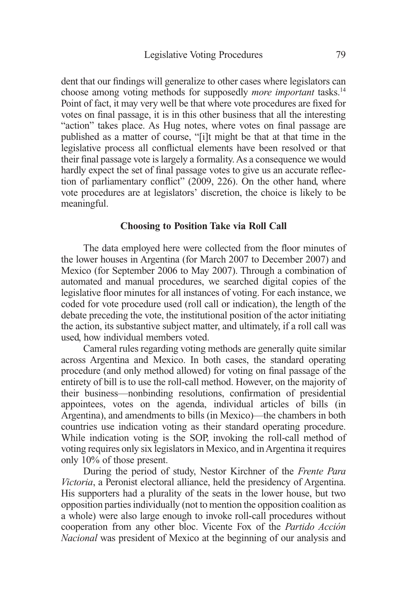dent that our findings will generalize to other cases where legislators can choose among voting methods for supposedly *more important* tasks.<sup>14</sup> Point of fact, it may very well be that where vote procedures are fixed for votes on final passage, it is in this other business that all the interesting "action" takes place. As Hug notes, where votes on final passage are published as a matter of course, "[i]t might be that at that time in the legislative process all conflictual elements have been resolved or that their final passage vote is largely a formality. As a consequence we would hardly expect the set of final passage votes to give us an accurate reflection of parliamentary conflict" (2009, 226). On the other hand, where vote procedures are at legislators' discretion, the choice is likely to be meaningful.

#### **Choosing to Position Take via Roll Call**

The data employed here were collected from the floor minutes of the lower houses in Argentina (for March 2007 to December 2007) and Mexico (for September 2006 to May 2007). Through a combination of automated and manual procedures, we searched digital copies of the legislative floor minutes for all instances of voting. For each instance, we coded for vote procedure used (roll call or indication), the length of the debate preceding the vote, the institutional position of the actor initiating the action, its substantive subject matter, and ultimately, if a roll call was used, how individual members voted.

Cameral rules regarding voting methods are generally quite similar across Argentina and Mexico. In both cases, the standard operating procedure (and only method allowed) for voting on final passage of the entirety of bill is to use the roll-call method. However, on the majority of their business—nonbinding resolutions, confirmation of presidential appointees, votes on the agenda, individual articles of bills (in Argentina), and amendments to bills (in Mexico)—the chambers in both countries use indication voting as their standard operating procedure. While indication voting is the SOP, invoking the roll-call method of voting requires only six legislators in Mexico, and inArgentina it requires only 10% of those present.

During the period of study, Nestor Kirchner of the *Frente Para Victoria*, a Peronist electoral alliance, held the presidency of Argentina. His supporters had a plurality of the seats in the lower house, but two opposition parties individually (not to mention the opposition coalition as a whole) were also large enough to invoke roll-call procedures without cooperation from any other bloc. Vicente Fox of the *Partido Acción Nacional* was president of Mexico at the beginning of our analysis and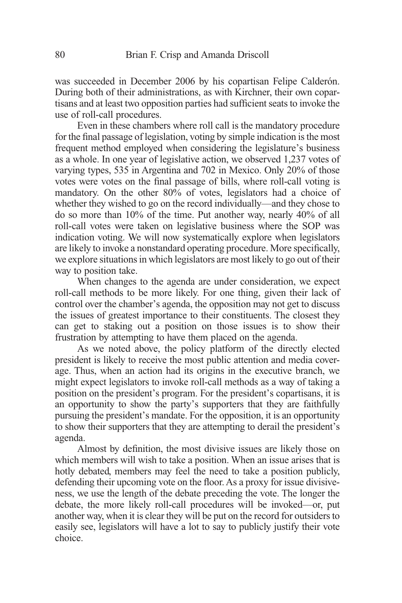was succeeded in December 2006 by his copartisan Felipe Calderón. During both of their administrations, as with Kirchner, their own copartisans and at least two opposition parties had sufficient seats to invoke the use of roll-call procedures.

Even in these chambers where roll call is the mandatory procedure for the final passage of legislation, voting by simple indication is the most frequent method employed when considering the legislature's business as a whole. In one year of legislative action, we observed 1,237 votes of varying types, 535 in Argentina and 702 in Mexico. Only 20% of those votes were votes on the final passage of bills, where roll-call voting is mandatory. On the other 80% of votes, legislators had a choice of whether they wished to go on the record individually—and they chose to do so more than 10% of the time. Put another way, nearly 40% of all roll-call votes were taken on legislative business where the SOP was indication voting. We will now systematically explore when legislators are likely to invoke a nonstandard operating procedure. More specifically, we explore situations in which legislators are most likely to go out of their way to position take.

When changes to the agenda are under consideration, we expect roll-call methods to be more likely. For one thing, given their lack of control over the chamber's agenda, the opposition may not get to discuss the issues of greatest importance to their constituents. The closest they can get to staking out a position on those issues is to show their frustration by attempting to have them placed on the agenda.

As we noted above, the policy platform of the directly elected president is likely to receive the most public attention and media coverage. Thus, when an action had its origins in the executive branch, we might expect legislators to invoke roll-call methods as a way of taking a position on the president's program. For the president's copartisans, it is an opportunity to show the party's supporters that they are faithfully pursuing the president's mandate. For the opposition, it is an opportunity to show their supporters that they are attempting to derail the president's agenda.

Almost by definition, the most divisive issues are likely those on which members will wish to take a position. When an issue arises that is hotly debated, members may feel the need to take a position publicly, defending their upcoming vote on the floor. As a proxy for issue divisiveness, we use the length of the debate preceding the vote. The longer the debate, the more likely roll-call procedures will be invoked—or, put another way, when it is clear they will be put on the record for outsiders to easily see, legislators will have a lot to say to publicly justify their vote choice.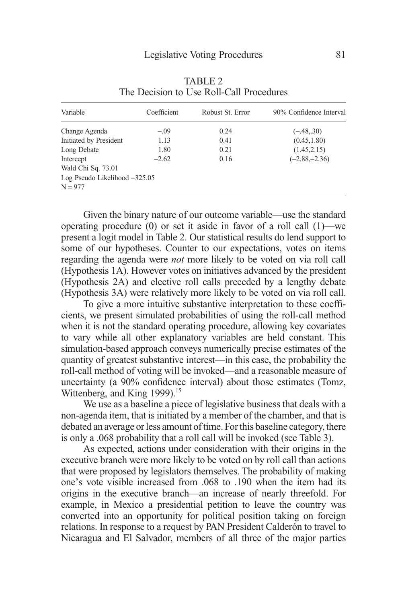| Variable                      | Coefficient | Robust St. Error | 90% Confidence Interval |
|-------------------------------|-------------|------------------|-------------------------|
| Change Agenda                 | $-.09$      | 0.24             | $(-.48, .30)$           |
| Initiated by President        | 1.13        | 0.41             | (0.45, 1.80)            |
| Long Debate                   | 1.80        | 0.21             | (1.45, 2.15)            |
| Intercept                     | $-2.62$     | 0.16             | $(-2.88,-2.36)$         |
| Wald Chi Sq. 73.01            |             |                  |                         |
| Log Pseudo Likelihood -325.05 |             |                  |                         |
| $N = 977$                     |             |                  |                         |

TABLE 2 The Decision to Use Roll-Call Procedures

Given the binary nature of our outcome variable—use the standard operating procedure (0) or set it aside in favor of a roll call  $(1)$ —we present a logit model in Table 2. Our statistical results do lend support to some of our hypotheses. Counter to our expectations, votes on items regarding the agenda were *not* more likely to be voted on via roll call (Hypothesis 1A). However votes on initiatives advanced by the president (Hypothesis 2A) and elective roll calls preceded by a lengthy debate (Hypothesis 3A) were relatively more likely to be voted on via roll call.

To give a more intuitive substantive interpretation to these coefficients, we present simulated probabilities of using the roll-call method when it is not the standard operating procedure, allowing key covariates to vary while all other explanatory variables are held constant. This simulation-based approach conveys numerically precise estimates of the quantity of greatest substantive interest—in this case, the probability the roll-call method of voting will be invoked—and a reasonable measure of uncertainty (a 90% confidence interval) about those estimates (Tomz, Wittenberg, and King  $1999$ ).<sup>15</sup>

We use as a baseline a piece of legislative business that deals with a non-agenda item, that is initiated by a member of the chamber, and that is debated an average or less amount of time. For this baseline category, there is only a .068 probability that a roll call will be invoked (see Table 3).

As expected, actions under consideration with their origins in the executive branch were more likely to be voted on by roll call than actions that were proposed by legislators themselves. The probability of making one's vote visible increased from .068 to .190 when the item had its origins in the executive branch—an increase of nearly threefold. For example, in Mexico a presidential petition to leave the country was converted into an opportunity for political position taking on foreign relations. In response to a request by PAN President Calderón to travel to Nicaragua and El Salvador, members of all three of the major parties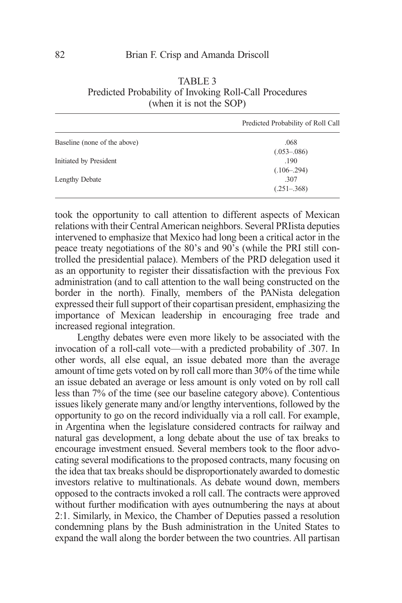| TABLE 3                                                |
|--------------------------------------------------------|
| Predicted Probability of Invoking Roll-Call Procedures |
| (when it is not the SOP)                               |

|                              | Predicted Probability of Roll Call |
|------------------------------|------------------------------------|
| Baseline (none of the above) | .068                               |
|                              | $(.053 - .086)$                    |
| Initiated by President       | .190                               |
|                              | $(.106 - .294)$                    |
| Lengthy Debate               | .307                               |
|                              | $(.251 - .368)$                    |

took the opportunity to call attention to different aspects of Mexican relations with their CentralAmerican neighbors. Several PRIista deputies intervened to emphasize that Mexico had long been a critical actor in the peace treaty negotiations of the 80's and 90's (while the PRI still controlled the presidential palace). Members of the PRD delegation used it as an opportunity to register their dissatisfaction with the previous Fox administration (and to call attention to the wall being constructed on the border in the north). Finally, members of the PANista delegation expressed their full support of their copartisan president, emphasizing the importance of Mexican leadership in encouraging free trade and increased regional integration.

Lengthy debates were even more likely to be associated with the invocation of a roll-call vote—with a predicted probability of .307. In other words, all else equal, an issue debated more than the average amount of time gets voted on by roll call more than 30% of the time while an issue debated an average or less amount is only voted on by roll call less than 7% of the time (see our baseline category above). Contentious issues likely generate many and/or lengthy interventions, followed by the opportunity to go on the record individually via a roll call. For example, in Argentina when the legislature considered contracts for railway and natural gas development, a long debate about the use of tax breaks to encourage investment ensued. Several members took to the floor advocating several modifications to the proposed contracts, many focusing on the idea that tax breaks should be disproportionately awarded to domestic investors relative to multinationals. As debate wound down, members opposed to the contracts invoked a roll call. The contracts were approved without further modification with ayes outnumbering the nays at about 2:1. Similarly, in Mexico, the Chamber of Deputies passed a resolution condemning plans by the Bush administration in the United States to expand the wall along the border between the two countries. All partisan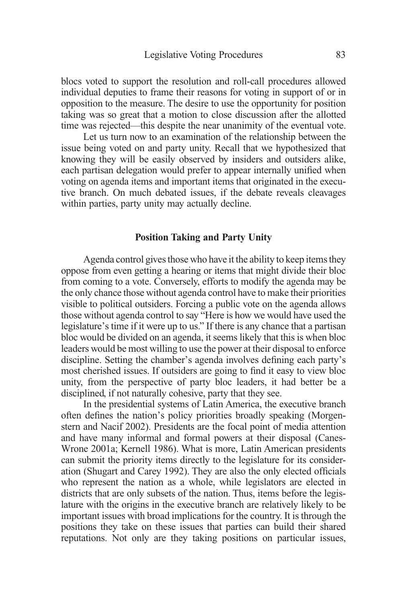blocs voted to support the resolution and roll-call procedures allowed individual deputies to frame their reasons for voting in support of or in opposition to the measure. The desire to use the opportunity for position taking was so great that a motion to close discussion after the allotted time was rejected—this despite the near unanimity of the eventual vote.

Let us turn now to an examination of the relationship between the issue being voted on and party unity. Recall that we hypothesized that knowing they will be easily observed by insiders and outsiders alike, each partisan delegation would prefer to appear internally unified when voting on agenda items and important items that originated in the executive branch. On much debated issues, if the debate reveals cleavages within parties, party unity may actually decline.

## **Position Taking and Party Unity**

Agenda control gives those who have it the ability to keep items they oppose from even getting a hearing or items that might divide their bloc from coming to a vote. Conversely, efforts to modify the agenda may be the only chance those without agenda control have to make their priorities visible to political outsiders. Forcing a public vote on the agenda allows those without agenda control to say "Here is how we would have used the legislature's time if it were up to us." If there is any chance that a partisan bloc would be divided on an agenda, it seems likely that this is when bloc leaders would be most willing to use the power at their disposal to enforce discipline. Setting the chamber's agenda involves defining each party's most cherished issues. If outsiders are going to find it easy to view bloc unity, from the perspective of party bloc leaders, it had better be a disciplined, if not naturally cohesive, party that they see.

In the presidential systems of Latin America, the executive branch often defines the nation's policy priorities broadly speaking (Morgenstern and Nacif 2002). Presidents are the focal point of media attention and have many informal and formal powers at their disposal (Canes-Wrone 2001a; Kernell 1986). What is more, Latin American presidents can submit the priority items directly to the legislature for its consideration (Shugart and Carey 1992). They are also the only elected officials who represent the nation as a whole, while legislators are elected in districts that are only subsets of the nation. Thus, items before the legislature with the origins in the executive branch are relatively likely to be important issues with broad implications for the country. It is through the positions they take on these issues that parties can build their shared reputations. Not only are they taking positions on particular issues,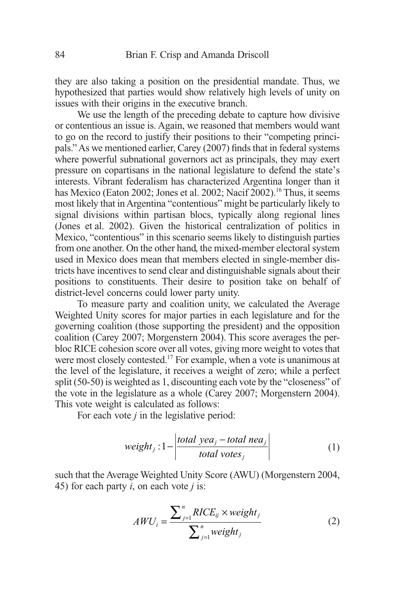they are also taking a position on the presidential mandate. Thus, we hypothesized that parties would show relatively high levels of unity on issues with their origins in the executive branch.

We use the length of the preceding debate to capture how divisive or contentious an issue is. Again, we reasoned that members would want to go on the record to justify their positions to their "competing principals." As we mentioned earlier, Carey (2007) finds that in federal systems where powerful subnational governors act as principals, they may exert pressure on copartisans in the national legislature to defend the state's interests. Vibrant federalism has characterized Argentina longer than it has Mexico (Eaton 2002; Jones et al. 2002; Nacif 2002).<sup>16</sup> Thus, it seems most likely that in Argentina "contentious" might be particularly likely to signal divisions within partisan blocs, typically along regional lines (Jones et al. 2002). Given the historical centralization of politics in Mexico, "contentious" in this scenario seems likely to distinguish parties from one another. On the other hand, the mixed-member electoral system used in Mexico does mean that members elected in single-member districts have incentives to send clear and distinguishable signals about their positions to constituents. Their desire to position take on behalf of district-level concerns could lower party unity.

To measure party and coalition unity, we calculated the Average Weighted Unity scores for major parties in each legislature and for the governing coalition (those supporting the president) and the opposition coalition (Carey 2007; Morgenstern 2004). This score averages the perbloc RICE cohesion score over all votes, giving more weight to votes that were most closely contested.<sup>17</sup> For example, when a vote is unanimous at the level of the legislature, it receives a weight of zero; while a perfect split (50-50) is weighted as 1, discounting each vote by the "closeness" of the vote in the legislature as a whole (Carey 2007; Morgenstern 2004). This vote weight is calculated as follows:

For each vote *j* in the legislative period:

$$
weight_j: 1 - \left| \frac{total\; yea_j - total\; nea_j}{total\; votes_j} \right| \tag{1}
$$

such that the Average Weighted Unity Score (AWU) (Morgenstern 2004, 45) for each party *i*, on each vote *j* is:

$$
AWU_i = \frac{\sum_{j=1}^{n} RICE_{ij} \times weight_j}{\sum_{j=1}^{n} weight_j}
$$
 (2)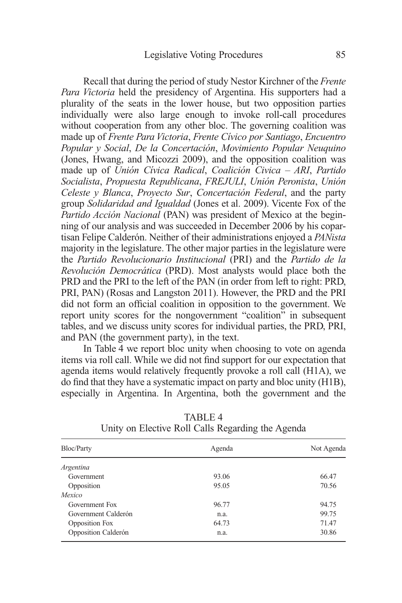Recall that during the period of study Nestor Kirchner of the *Frente Para Victoria* held the presidency of Argentina. His supporters had a plurality of the seats in the lower house, but two opposition parties individually were also large enough to invoke roll-call procedures without cooperation from any other bloc. The governing coalition was made up of *Frente Para Victoria*, *Frente Cívico por Santiago*, *Encuentro Popular y Social*, *De la Concertación*, *Movimiento Popular Neuquino* (Jones, Hwang, and Micozzi 2009), and the opposition coalition was made up of *Unión Cívica Radical*, *Coalición Civica – ARI*, *Partido Socialista*, *Propuesta Republicana*, *FREJULI*, *Unión Peronista*, *Unión Celeste y Blanca*, *Proyecto Sur*, *Concertación Federal*, and the party group *Solidaridad and Igualdad* (Jones et al. 2009). Vicente Fox of the *Partido Acción Nacional* (PAN) was president of Mexico at the beginning of our analysis and was succeeded in December 2006 by his copartisan Felipe Calderón. Neither of their administrations enjoyed a *PANista* majority in the legislature. The other major parties in the legislature were the *Partido Revolucionario Institucional* (PRI) and the *Partido de la Revolución Democrática* (PRD). Most analysts would place both the PRD and the PRI to the left of the PAN (in order from left to right: PRD, PRI, PAN) (Rosas and Langston 2011). However, the PRD and the PRI did not form an official coalition in opposition to the government. We report unity scores for the nongovernment "coalition" in subsequent tables, and we discuss unity scores for individual parties, the PRD, PRI, and PAN (the government party), in the text.

In Table 4 we report bloc unity when choosing to vote on agenda items via roll call. While we did not find support for our expectation that agenda items would relatively frequently provoke a roll call (H1A), we do find that they have a systematic impact on party and bloc unity (H1B), especially in Argentina. In Argentina, both the government and the

| Bloc/Party            | Agenda | Not Agenda |
|-----------------------|--------|------------|
| Argentina             |        |            |
| Government            | 93.06  | 66.47      |
| Opposition            | 95.05  | 70.56      |
| Mexico                |        |            |
| Government Fox        | 96.77  | 94.75      |
| Government Calderón   | n.a.   | 99.75      |
| <b>Opposition Fox</b> | 64.73  | 71.47      |
| Opposition Calderón   | n.a.   | 30.86      |

TABLE 4 Unity on Elective Roll Calls Regarding the Agenda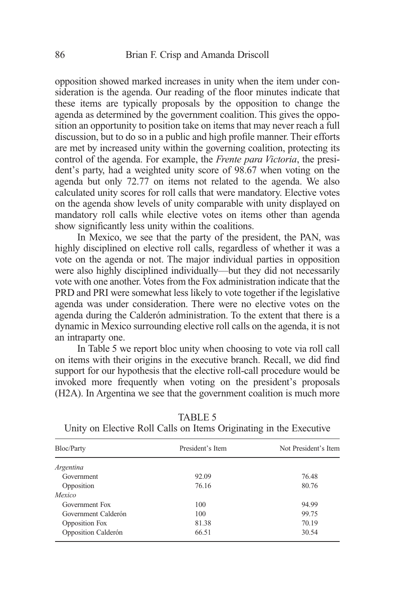opposition showed marked increases in unity when the item under consideration is the agenda. Our reading of the floor minutes indicate that these items are typically proposals by the opposition to change the agenda as determined by the government coalition. This gives the opposition an opportunity to position take on items that may never reach a full discussion, but to do so in a public and high profile manner. Their efforts are met by increased unity within the governing coalition, protecting its control of the agenda. For example, the *Frente para Victoria*, the president's party, had a weighted unity score of 98.67 when voting on the agenda but only 72.77 on items not related to the agenda. We also calculated unity scores for roll calls that were mandatory. Elective votes on the agenda show levels of unity comparable with unity displayed on mandatory roll calls while elective votes on items other than agenda show significantly less unity within the coalitions.

In Mexico, we see that the party of the president, the PAN, was highly disciplined on elective roll calls, regardless of whether it was a vote on the agenda or not. The major individual parties in opposition were also highly disciplined individually—but they did not necessarily vote with one another. Votes from the Fox administration indicate that the PRD and PRI were somewhat less likely to vote together if the legislative agenda was under consideration. There were no elective votes on the agenda during the Calderón administration. To the extent that there is a dynamic in Mexico surrounding elective roll calls on the agenda, it is not an intraparty one.

In Table 5 we report bloc unity when choosing to vote via roll call on items with their origins in the executive branch. Recall, we did find support for our hypothesis that the elective roll-call procedure would be invoked more frequently when voting on the president's proposals (H2A). In Argentina we see that the government coalition is much more

| Bloc/Party            | President's Item | Not President's Item |
|-----------------------|------------------|----------------------|
| Argentina             |                  |                      |
| Government            | 92.09            | 76.48                |
| Opposition            | 76.16            | 80.76                |
| Mexico                |                  |                      |
| Government Fox        | 100              | 94.99                |
| Government Calderón   | 100              | 99.75                |
| <b>Opposition Fox</b> | 81.38            | 70.19                |
| Opposition Calderón   | 66.51            | 30.54                |

TABLE 5 Unity on Elective Roll Calls on Items Originating in the Executive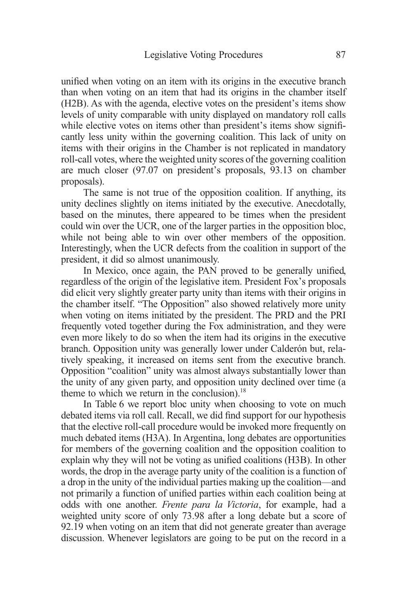unified when voting on an item with its origins in the executive branch than when voting on an item that had its origins in the chamber itself (H2B). As with the agenda, elective votes on the president's items show levels of unity comparable with unity displayed on mandatory roll calls while elective votes on items other than president's items show significantly less unity within the governing coalition. This lack of unity on items with their origins in the Chamber is not replicated in mandatory roll-call votes, where the weighted unity scores of the governing coalition are much closer (97.07 on president's proposals, 93.13 on chamber proposals).

The same is not true of the opposition coalition. If anything, its unity declines slightly on items initiated by the executive. Anecdotally, based on the minutes, there appeared to be times when the president could win over the UCR, one of the larger parties in the opposition bloc, while not being able to win over other members of the opposition. Interestingly, when the UCR defects from the coalition in support of the president, it did so almost unanimously.

In Mexico, once again, the PAN proved to be generally unified, regardless of the origin of the legislative item. President Fox's proposals did elicit very slightly greater party unity than items with their origins in the chamber itself. "The Opposition" also showed relatively more unity when voting on items initiated by the president. The PRD and the PRI frequently voted together during the Fox administration, and they were even more likely to do so when the item had its origins in the executive branch. Opposition unity was generally lower under Calderón but, relatively speaking, it increased on items sent from the executive branch. Opposition "coalition" unity was almost always substantially lower than the unity of any given party, and opposition unity declined over time (a theme to which we return in the conclusion).<sup>18</sup>

In Table 6 we report bloc unity when choosing to vote on much debated items via roll call. Recall, we did find support for our hypothesis that the elective roll-call procedure would be invoked more frequently on much debated items (H3A). In Argentina, long debates are opportunities for members of the governing coalition and the opposition coalition to explain why they will not be voting as unified coalitions (H3B). In other words, the drop in the average party unity of the coalition is a function of a drop in the unity of the individual parties making up the coalition—and not primarily a function of unified parties within each coalition being at odds with one another. *Frente para la Victoria*, for example, had a weighted unity score of only 73.98 after a long debate but a score of 92.19 when voting on an item that did not generate greater than average discussion. Whenever legislators are going to be put on the record in a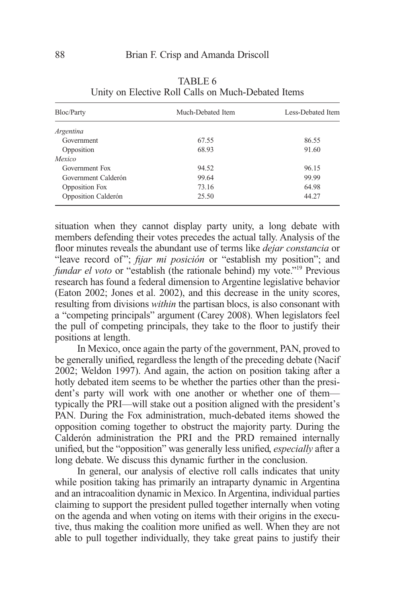| <b>Bloc/Party</b>     | Much-Debated Item | Less-Debated Item |
|-----------------------|-------------------|-------------------|
| Argentina             |                   |                   |
| Government            | 67.55             | 86.55             |
| Opposition            | 68.93             | 91.60             |
| Mexico                |                   |                   |
| Government Fox        | 94.52             | 96.15             |
| Government Calderón   | 99.64             | 99.99             |
| <b>Opposition Fox</b> | 73.16             | 64.98             |
| Opposition Calderón   | 25.50             | 44.27             |

| TABLE 6                                            |  |
|----------------------------------------------------|--|
| Unity on Elective Roll Calls on Much-Debated Items |  |

situation when they cannot display party unity, a long debate with members defending their votes precedes the actual tally. Analysis of the floor minutes reveals the abundant use of terms like *dejar constancia* or "leave record of"; *fijar mi posición* or "establish my position"; and *fundar el voto* or "establish (the rationale behind) my vote."<sup>19</sup> Previous research has found a federal dimension to Argentine legislative behavior (Eaton 2002; Jones et al. 2002), and this decrease in the unity scores, resulting from divisions *within* the partisan blocs, is also consonant with a "competing principals" argument (Carey 2008). When legislators feel the pull of competing principals, they take to the floor to justify their positions at length.

In Mexico, once again the party of the government, PAN, proved to be generally unified, regardless the length of the preceding debate (Nacif 2002; Weldon 1997). And again, the action on position taking after a hotly debated item seems to be whether the parties other than the president's party will work with one another or whether one of them typically the PRI—will stake out a position aligned with the president's PAN. During the Fox administration, much-debated items showed the opposition coming together to obstruct the majority party. During the Calderón administration the PRI and the PRD remained internally unified, but the "opposition" was generally less unified, *especially* after a long debate. We discuss this dynamic further in the conclusion.

In general, our analysis of elective roll calls indicates that unity while position taking has primarily an intraparty dynamic in Argentina and an intracoalition dynamic in Mexico. In Argentina, individual parties claiming to support the president pulled together internally when voting on the agenda and when voting on items with their origins in the executive, thus making the coalition more unified as well. When they are not able to pull together individually, they take great pains to justify their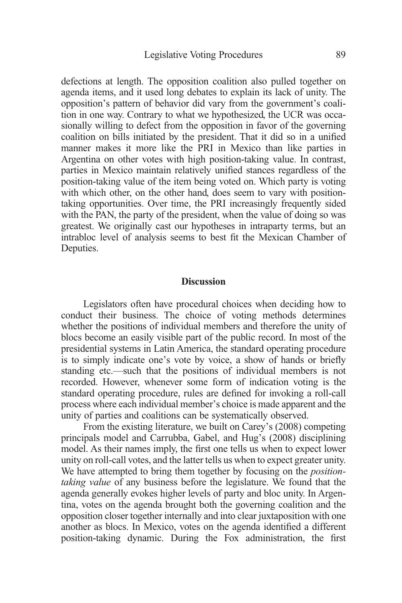defections at length. The opposition coalition also pulled together on agenda items, and it used long debates to explain its lack of unity. The opposition's pattern of behavior did vary from the government's coalition in one way. Contrary to what we hypothesized, the UCR was occasionally willing to defect from the opposition in favor of the governing coalition on bills initiated by the president. That it did so in a unified manner makes it more like the PRI in Mexico than like parties in Argentina on other votes with high position-taking value. In contrast, parties in Mexico maintain relatively unified stances regardless of the position-taking value of the item being voted on. Which party is voting with which other, on the other hand, does seem to vary with positiontaking opportunities. Over time, the PRI increasingly frequently sided with the PAN, the party of the president, when the value of doing so was greatest. We originally cast our hypotheses in intraparty terms, but an intrabloc level of analysis seems to best fit the Mexican Chamber of Deputies.

## **Discussion**

Legislators often have procedural choices when deciding how to conduct their business. The choice of voting methods determines whether the positions of individual members and therefore the unity of blocs become an easily visible part of the public record. In most of the presidential systems in Latin America, the standard operating procedure is to simply indicate one's vote by voice, a show of hands or briefly standing etc.—such that the positions of individual members is not recorded. However, whenever some form of indication voting is the standard operating procedure, rules are defined for invoking a roll-call process where each individual member's choice is made apparent and the unity of parties and coalitions can be systematically observed.

From the existing literature, we built on Carey's (2008) competing principals model and Carrubba, Gabel, and Hug's (2008) disciplining model. As their names imply, the first one tells us when to expect lower unity on roll-call votes, and the latter tells us when to expect greater unity. We have attempted to bring them together by focusing on the *positiontaking value* of any business before the legislature. We found that the agenda generally evokes higher levels of party and bloc unity. In Argentina, votes on the agenda brought both the governing coalition and the opposition closer together internally and into clear juxtaposition with one another as blocs. In Mexico, votes on the agenda identified a different position-taking dynamic. During the Fox administration, the first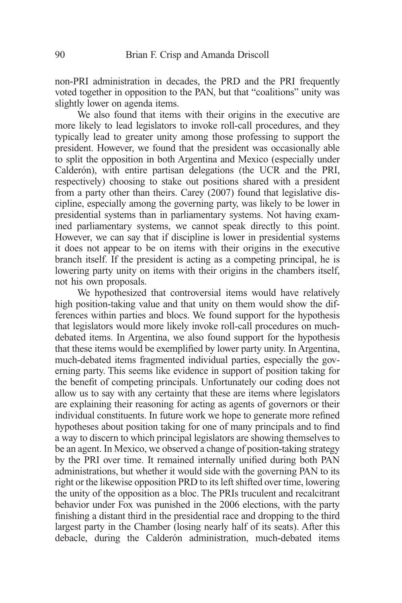non-PRI administration in decades, the PRD and the PRI frequently voted together in opposition to the PAN, but that "coalitions" unity was slightly lower on agenda items.

We also found that items with their origins in the executive are more likely to lead legislators to invoke roll-call procedures, and they typically lead to greater unity among those professing to support the president. However, we found that the president was occasionally able to split the opposition in both Argentina and Mexico (especially under Calderón), with entire partisan delegations (the UCR and the PRI, respectively) choosing to stake out positions shared with a president from a party other than theirs. Carey (2007) found that legislative discipline, especially among the governing party, was likely to be lower in presidential systems than in parliamentary systems. Not having examined parliamentary systems, we cannot speak directly to this point. However, we can say that if discipline is lower in presidential systems it does not appear to be on items with their origins in the executive branch itself. If the president is acting as a competing principal, he is lowering party unity on items with their origins in the chambers itself, not his own proposals.

We hypothesized that controversial items would have relatively high position-taking value and that unity on them would show the differences within parties and blocs. We found support for the hypothesis that legislators would more likely invoke roll-call procedures on muchdebated items. In Argentina, we also found support for the hypothesis that these items would be exemplified by lower party unity. In Argentina, much-debated items fragmented individual parties, especially the governing party. This seems like evidence in support of position taking for the benefit of competing principals. Unfortunately our coding does not allow us to say with any certainty that these are items where legislators are explaining their reasoning for acting as agents of governors or their individual constituents. In future work we hope to generate more refined hypotheses about position taking for one of many principals and to find a way to discern to which principal legislators are showing themselves to be an agent. In Mexico, we observed a change of position-taking strategy by the PRI over time. It remained internally unified during both PAN administrations, but whether it would side with the governing PAN to its right or the likewise opposition PRD to its left shifted over time, lowering the unity of the opposition as a bloc. The PRIs truculent and recalcitrant behavior under Fox was punished in the 2006 elections, with the party finishing a distant third in the presidential race and dropping to the third largest party in the Chamber (losing nearly half of its seats). After this debacle, during the Calderón administration, much-debated items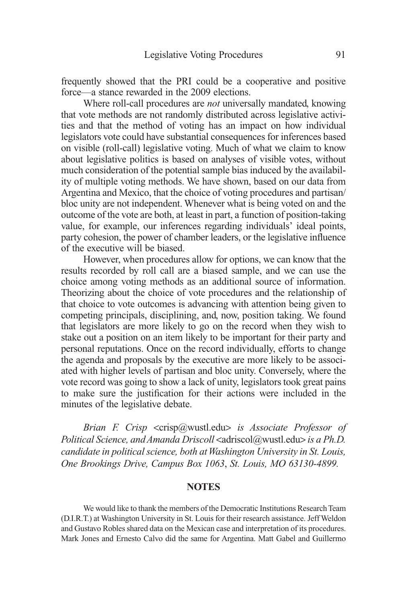frequently showed that the PRI could be a cooperative and positive force—a stance rewarded in the 2009 elections.

Where roll-call procedures are *not* universally mandated, knowing that vote methods are not randomly distributed across legislative activities and that the method of voting has an impact on how individual legislators vote could have substantial consequences for inferences based on visible (roll-call) legislative voting. Much of what we claim to know about legislative politics is based on analyses of visible votes, without much consideration of the potential sample bias induced by the availability of multiple voting methods. We have shown, based on our data from Argentina and Mexico, that the choice of voting procedures and partisan/ bloc unity are not independent. Whenever what is being voted on and the outcome of the vote are both, at least in part, a function of position-taking value, for example, our inferences regarding individuals' ideal points, party cohesion, the power of chamber leaders, or the legislative influence of the executive will be biased.

However, when procedures allow for options, we can know that the results recorded by roll call are a biased sample, and we can use the choice among voting methods as an additional source of information. Theorizing about the choice of vote procedures and the relationship of that choice to vote outcomes is advancing with attention being given to competing principals, disciplining, and, now, position taking. We found that legislators are more likely to go on the record when they wish to stake out a position on an item likely to be important for their party and personal reputations. Once on the record individually, efforts to change the agenda and proposals by the executive are more likely to be associated with higher levels of partisan and bloc unity. Conversely, where the vote record was going to show a lack of unity, legislators took great pains to make sure the justification for their actions were included in the minutes of the legislative debate.

*Brian F. Crisp* <crisp@wustl.edu> *is Associate Professor of Political Science, and Amanda Driscoll* <adriscol@wustl.edu> *is a Ph.D. candidate in political science, both at Washington University in St. Louis, One Brookings Drive, Campus Box 1063*, *St. Louis, MO 63130-4899.*

#### **NOTES**

We would like to thank the members of the Democratic Institutions Research Team (D.I.R.T.) at Washington University in St. Louis for their research assistance. Jeff Weldon and Gustavo Robles shared data on the Mexican case and interpretation of its procedures. Mark Jones and Ernesto Calvo did the same for Argentina. Matt Gabel and Guillermo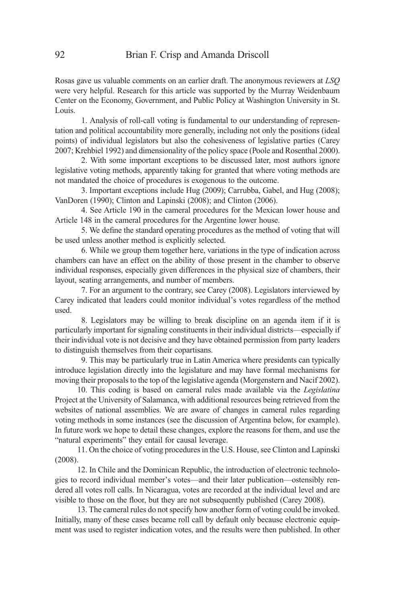Rosas gave us valuable comments on an earlier draft. The anonymous reviewers at *LSQ* were very helpful. Research for this article was supported by the Murray Weidenbaum Center on the Economy, Government, and Public Policy at Washington University in St. Louis.

1. Analysis of roll-call voting is fundamental to our understanding of representation and political accountability more generally, including not only the positions (ideal points) of individual legislators but also the cohesiveness of legislative parties (Carey 2007; Krehbiel 1992) and dimensionality of the policy space (Poole and Rosenthal 2000).

2. With some important exceptions to be discussed later, most authors ignore legislative voting methods, apparently taking for granted that where voting methods are not mandated the choice of procedures is exogenous to the outcome.

3. Important exceptions include Hug (2009); Carrubba, Gabel, and Hug (2008); VanDoren (1990); Clinton and Lapinski (2008); and Clinton (2006).

4. See Article 190 in the cameral procedures for the Mexican lower house and Article 148 in the cameral procedures for the Argentine lower house.

5. We define the standard operating procedures as the method of voting that will be used unless another method is explicitly selected.

6. While we group them together here, variations in the type of indication across chambers can have an effect on the ability of those present in the chamber to observe individual responses, especially given differences in the physical size of chambers, their layout, seating arrangements, and number of members.

7. For an argument to the contrary, see Carey (2008). Legislators interviewed by Carey indicated that leaders could monitor individual's votes regardless of the method used.

8. Legislators may be willing to break discipline on an agenda item if it is particularly important for signaling constituents in their individual districts—especially if their individual vote is not decisive and they have obtained permission from party leaders to distinguish themselves from their copartisans.

9. This may be particularly true in Latin America where presidents can typically introduce legislation directly into the legislature and may have formal mechanisms for moving their proposals to the top of the legislative agenda (Morgenstern and Nacif 2002).

10. This coding is based on cameral rules made available via the *Legislatina* Project at the University of Salamanca, with additional resources being retrieved from the websites of national assemblies. We are aware of changes in cameral rules regarding voting methods in some instances (see the discussion of Argentina below, for example). In future work we hope to detail these changes, explore the reasons for them, and use the "natural experiments" they entail for causal leverage.

11. On the choice of voting procedures in the U.S. House, see Clinton and Lapinski (2008).

12. In Chile and the Dominican Republic, the introduction of electronic technologies to record individual member's votes—and their later publication—ostensibly rendered all votes roll calls. In Nicaragua, votes are recorded at the individual level and are visible to those on the floor, but they are not subsequently published (Carey 2008).

13. The cameral rules do not specify how another form of voting could be invoked. Initially, many of these cases became roll call by default only because electronic equipment was used to register indication votes, and the results were then published. In other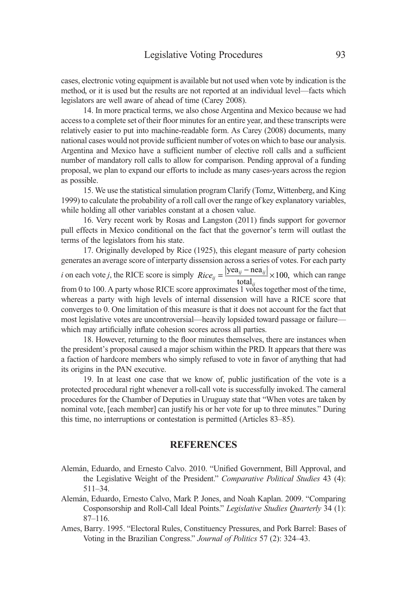cases, electronic voting equipment is available but not used when vote by indication is the method, or it is used but the results are not reported at an individual level—facts which legislators are well aware of ahead of time (Carey 2008).

14. In more practical terms, we also chose Argentina and Mexico because we had access to a complete set of their floor minutes for an entire year, and these transcripts were relatively easier to put into machine-readable form. As Carey (2008) documents, many national cases would not provide sufficient number of votes on which to base our analysis. Argentina and Mexico have a sufficient number of elective roll calls and a sufficient number of mandatory roll calls to allow for comparison. Pending approval of a funding proposal, we plan to expand our efforts to include as many cases-years across the region as possible.

15. We use the statistical simulation program Clarify (Tomz, Wittenberg, and King 1999) to calculate the probability of a roll call over the range of key explanatory variables, while holding all other variables constant at a chosen value.

16. Very recent work by Rosas and Langston (2011) finds support for governor pull effects in Mexico conditional on the fact that the governor's term will outlast the terms of the legislators from his state.

17. Originally developed by Rice (1925), this elegant measure of party cohesion generates an average score of interparty dissension across a series of votes. For each party *i* on each vote *j*, the RICE score is simply  $Rice_{ij} = \frac{|\text{yea}_{ij} - \text{nea}_{ij}|}{\text{total}_{ij}} \times 100$ , which can range total $\mathbf{I}_{ii}$ from 0 to 100. A party whose RICE score approximates 1 votes together most of the time, whereas a party with high levels of internal dissension will have a RICE score that converges to 0. One limitation of this measure is that it does not account for the fact that most legislative votes are uncontroversial—heavily lopsided toward passage or failure which may artificially inflate cohesion scores across all parties.

18. However, returning to the floor minutes themselves, there are instances when the president's proposal caused a major schism within the PRD. It appears that there was a faction of hardcore members who simply refused to vote in favor of anything that had its origins in the PAN executive.

19. In at least one case that we know of, public justification of the vote is a protected procedural right whenever a roll-call vote is successfully invoked. The cameral procedures for the Chamber of Deputies in Uruguay state that "When votes are taken by nominal vote, [each member] can justify his or her vote for up to three minutes." During this time, no interruptions or contestation is permitted (Articles 83–85).

#### **REFERENCES**

- Alemán, Eduardo, and Ernesto Calvo. 2010. "Unified Government, Bill Approval, and the Legislative Weight of the President." *Comparative Political Studies* 43 (4): 511–34.
- Alemán, Eduardo, Ernesto Calvo, Mark P. Jones, and Noah Kaplan. 2009. "Comparing Cosponsorship and Roll-Call Ideal Points." *Legislative Studies Quarterly* 34 (1): 87–116.
- Ames, Barry. 1995. "Electoral Rules, Constituency Pressures, and Pork Barrel: Bases of Voting in the Brazilian Congress." *Journal of Politics* 57 (2): 324–43.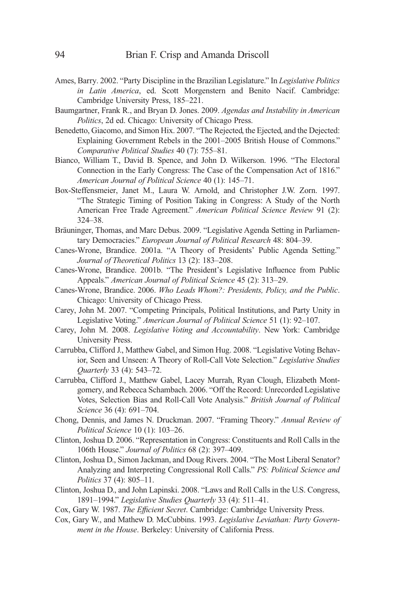- Ames, Barry. 2002. "Party Discipline in the Brazilian Legislature." In *Legislative Politics in Latin America*, ed. Scott Morgenstern and Benito Nacif. Cambridge: Cambridge University Press, 185–221.
- Baumgartner, Frank R., and Bryan D. Jones. 2009. *Agendas and Instability in American Politics*, 2d ed. Chicago: University of Chicago Press.
- Benedetto, Giacomo, and Simon Hix. 2007. "The Rejected, the Ejected, and the Dejected: Explaining Government Rebels in the 2001–2005 British House of Commons." *Comparative Political Studies* 40 (7): 755–81.
- Bianco, William T., David B. Spence, and John D. Wilkerson. 1996. "The Electoral Connection in the Early Congress: The Case of the Compensation Act of 1816." *American Journal of Political Science* 40 (1): 145–71.
- Box-Steffensmeier, Janet M., Laura W. Arnold, and Christopher J.W. Zorn. 1997. "The Strategic Timing of Position Taking in Congress: A Study of the North American Free Trade Agreement." *American Political Science Review* 91 (2): 324–38.
- Bräuninger, Thomas, and Marc Debus. 2009. "Legislative Agenda Setting in Parliamentary Democracies." *European Journal of Political Research* 48: 804–39.
- Canes-Wrone, Brandice. 2001a. "A Theory of Presidents' Public Agenda Setting." *Journal of Theoretical Politics* 13 (2): 183–208.
- Canes-Wrone, Brandice. 2001b. "The President's Legislative Influence from Public Appeals." *American Journal of Political Science* 45 (2): 313–29.
- Canes-Wrone, Brandice. 2006. *Who Leads Whom?: Presidents, Policy, and the Public*. Chicago: University of Chicago Press.
- Carey, John M. 2007. "Competing Principals, Political Institutions, and Party Unity in Legislative Voting." *American Journal of Political Science* 51 (1): 92–107.
- Carey, John M. 2008. *Legislative Voting and Accountability*. New York: Cambridge University Press.
- Carrubba, Clifford J., Matthew Gabel, and Simon Hug. 2008. "Legislative Voting Behavior, Seen and Unseen: A Theory of Roll-Call Vote Selection." *Legislative Studies Quarterly* 33 (4): 543–72.
- Carrubba, Clifford J., Matthew Gabel, Lacey Murrah, Ryan Clough, Elizabeth Montgomery, and Rebecca Schambach. 2006. "Off the Record: Unrecorded Legislative Votes, Selection Bias and Roll-Call Vote Analysis." *British Journal of Political Science* 36 (4): 691–704.
- Chong, Dennis, and James N. Druckman. 2007. "Framing Theory." *Annual Review of Political Science* 10 (1): 103–26.
- Clinton, Joshua D. 2006. "Representation in Congress: Constituents and Roll Calls in the 106th House." *Journal of Politics* 68 (2): 397–409.
- Clinton, Joshua D., Simon Jackman, and Doug Rivers. 2004. "The Most Liberal Senator? Analyzing and Interpreting Congressional Roll Calls." *PS: Political Science and Politics* 37 (4): 805–11.
- Clinton, Joshua D., and John Lapinski. 2008. "Laws and Roll Calls in the U.S. Congress, 1891–1994." *Legislative Studies Quarterly* 33 (4): 511–41.
- Cox, Gary W. 1987. *The Efficient Secret*. Cambridge: Cambridge University Press.
- Cox, Gary W., and Mathew D. McCubbins. 1993. *Legislative Leviathan: Party Government in the House*. Berkeley: University of California Press.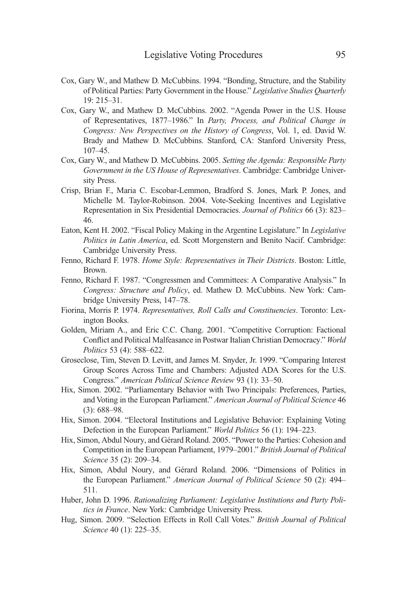- Cox, Gary W., and Mathew D. McCubbins. 1994. "Bonding, Structure, and the Stability of Political Parties: Party Government in the House." *Legislative Studies Quarterly* 19: 215–31.
- Cox, Gary W., and Mathew D. McCubbins. 2002. "Agenda Power in the U.S. House of Representatives, 1877–1986." In *Party, Process, and Political Change in Congress: New Perspectives on the History of Congress*, Vol. 1, ed. David W. Brady and Mathew D. McCubbins. Stanford, CA: Stanford University Press, 107–45.
- Cox, Gary W., and Mathew D. McCubbins. 2005. *Setting the Agenda: Responsible Party Government in the US House of Representatives*. Cambridge: Cambridge University Press.
- Crisp, Brian F., Maria C. Escobar-Lemmon, Bradford S. Jones, Mark P. Jones, and Michelle M. Taylor-Robinson. 2004. Vote-Seeking Incentives and Legislative Representation in Six Presidential Democracies. *Journal of Politics* 66 (3): 823– 46.
- Eaton, Kent H. 2002. "Fiscal Policy Making in the Argentine Legislature." In *Legislative Politics in Latin America*, ed. Scott Morgenstern and Benito Nacif. Cambridge: Cambridge University Press.
- Fenno, Richard F. 1978. *Home Style: Representatives in Their Districts*. Boston: Little, Brown.
- Fenno, Richard F. 1987. "Congressmen and Committees: A Comparative Analysis." In *Congress: Structure and Policy*, ed. Mathew D. McCubbins. New York: Cambridge University Press, 147–78.
- Fiorina, Morris P. 1974. *Representatives, Roll Calls and Constituencies*. Toronto: Lexington Books.
- Golden, Miriam A., and Eric C.C. Chang. 2001. "Competitive Corruption: Factional Conflict and Political Malfeasance in Postwar Italian Christian Democracy." *World Politics* 53 (4): 588–622.
- Groseclose, Tim, Steven D. Levitt, and James M. Snyder, Jr. 1999. "Comparing Interest Group Scores Across Time and Chambers: Adjusted ADA Scores for the U.S. Congress." *American Political Science Review* 93 (1): 33–50.
- Hix, Simon. 2002. "Parliamentary Behavior with Two Principals: Preferences, Parties, and Voting in the European Parliament." *American Journal of Political Science* 46 (3): 688–98.
- Hix, Simon. 2004. "Electoral Institutions and Legislative Behavior: Explaining Voting Defection in the European Parliament." *World Politics* 56 (1): 194–223.
- Hix, Simon, Abdul Noury, and Gérard Roland. 2005. "Power to the Parties: Cohesion and Competition in the European Parliament, 1979–2001." *British Journal of Political Science* 35 (2): 209–34.
- Hix, Simon, Abdul Noury, and Gérard Roland. 2006. "Dimensions of Politics in the European Parliament." *American Journal of Political Science* 50 (2): 494– 511.
- Huber, John D. 1996. *Rationalizing Parliament: Legislative Institutions and Party Politics in France*. New York: Cambridge University Press.
- Hug, Simon. 2009. "Selection Effects in Roll Call Votes." *British Journal of Political Science* 40 (1): 225–35.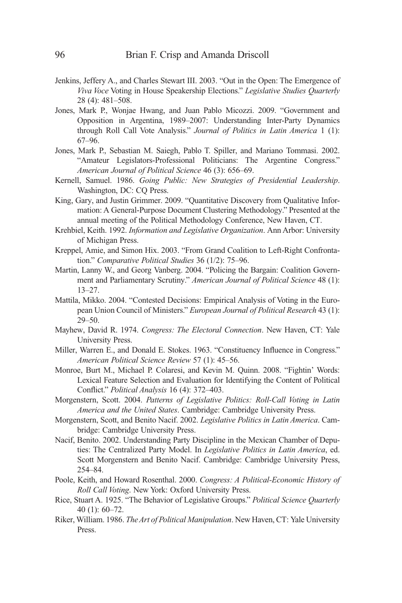- Jenkins, Jeffery A., and Charles Stewart III. 2003. "Out in the Open: The Emergence of *Viva Voce* Voting in House Speakership Elections." *Legislative Studies Quarterly* 28 (4): 481–508.
- Jones, Mark P., Wonjae Hwang, and Juan Pablo Micozzi. 2009. "Government and Opposition in Argentina, 1989–2007: Understanding Inter-Party Dynamics through Roll Call Vote Analysis." *Journal of Politics in Latin America* 1 (1): 67–96.
- Jones, Mark P., Sebastian M. Saiegh, Pablo T. Spiller, and Mariano Tommasi. 2002. "Amateur Legislators-Professional Politicians: The Argentine Congress." *American Journal of Political Science* 46 (3): 656–69.
- Kernell, Samuel. 1986. *Going Public: New Strategies of Presidential Leadership*. Washington, DC: CQ Press.
- King, Gary, and Justin Grimmer. 2009. "Quantitative Discovery from Qualitative Information: A General-Purpose Document Clustering Methodology." Presented at the annual meeting of the Political Methodology Conference, New Haven, CT.
- Krehbiel, Keith. 1992. *Information and Legislative Organization*. Ann Arbor: University of Michigan Press.
- Kreppel, Amie, and Simon Hix. 2003. "From Grand Coalition to Left-Right Confrontation." *Comparative Political Studies* 36 (1/2): 75–96.
- Martin, Lanny W., and Georg Vanberg. 2004. "Policing the Bargain: Coalition Government and Parliamentary Scrutiny." *American Journal of Political Science* 48 (1): 13–27.
- Mattila, Mikko. 2004. "Contested Decisions: Empirical Analysis of Voting in the European Union Council of Ministers." *European Journal of Political Research* 43 (1): 29–50.
- Mayhew, David R. 1974. *Congress: The Electoral Connection*. New Haven, CT: Yale University Press.
- Miller, Warren E., and Donald E. Stokes. 1963. "Constituency Influence in Congress." *American Political Science Review* 57 (1): 45–56.
- Monroe, Burt M., Michael P. Colaresi, and Kevin M. Quinn. 2008. "Fightin' Words: Lexical Feature Selection and Evaluation for Identifying the Content of Political Conflict." *Political Analysis* 16 (4): 372–403.
- Morgenstern, Scott. 2004. *Patterns of Legislative Politics: Roll-Call Voting in Latin America and the United States*. Cambridge: Cambridge University Press.
- Morgenstern, Scott, and Benito Nacif. 2002. *Legislative Politics in Latin America*. Cambridge: Cambridge University Press.
- Nacif, Benito. 2002. Understanding Party Discipline in the Mexican Chamber of Deputies: The Centralized Party Model. In *Legislative Politics in Latin America*, ed. Scott Morgenstern and Benito Nacif. Cambridge: Cambridge University Press, 254–84.
- Poole, Keith, and Howard Rosenthal. 2000. *Congress: A Political-Economic History of Roll Call Voting*. New York: Oxford University Press.
- Rice, Stuart A. 1925. "The Behavior of Legislative Groups." *Political Science Quarterly* 40 (1): 60–72.
- Riker, William. 1986. *TheArt of Political Manipulation*. New Haven, CT: Yale University Press.